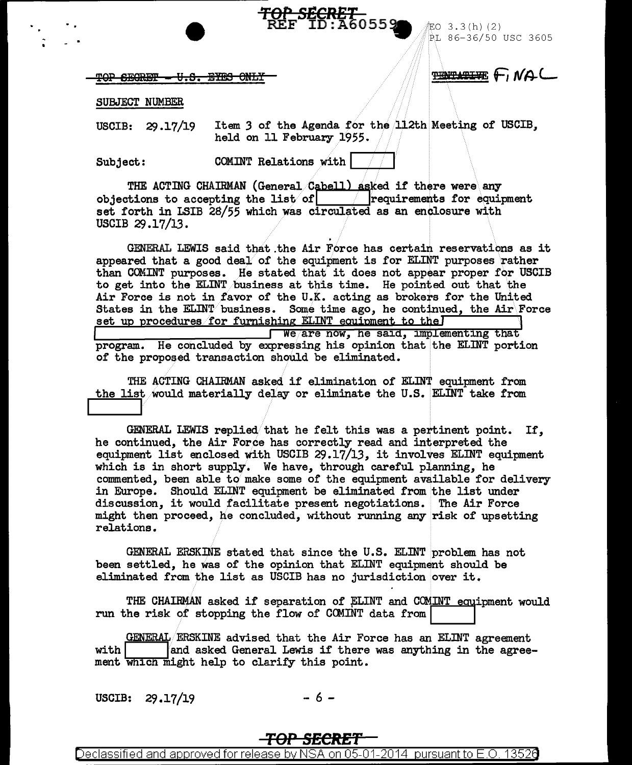TOP SEGRET - U.S. EYES ONLY

**TENTATIVE FINAL** 

PL 86-36/50 USC 3605

iEO 3.3(h)(2)

SUBJECT NUMBER

Item 3 of the Agenda for the 112th Meeting of USCIB. USCIB:  $29.17/19$ held on 11 February 1955.

<del>ርKይን<br>ኮ'¤ົნ</del>ი559

COMINT Relations with | Subject:

THE ACTING CHAIRMAN (General Cabell) asked if there were any objections to accepting the list of  $\boxed{\phantom{\text{p}}\phantom{\text{p}}\phantom{\text{p}}\phantom{\text{p}}\phantom{\text{p}}\text{}}$  requirements for equipment set forth in LSIB 28/55 which was circulated as an enclosure with USCIB 29.17/13.

GENERAL LEWIS said that the Air Force has certain reservations as it appeared that a good deal of the equipment is for ELINT purposes rather than COMINT purposes. He stated that it does not appear proper for USCIB to get into the ELINT business at this time. He pointed out that the Air Force is not in favor of the U.K. acting as brokers for the United States in the ELINT business. Some time ago, he continued, the Air Force set up procedures for furnishing ELINT equipment to the I We are now, he said, implementing that program. He concluded by expressing his opinion that the ELINT portion of the proposed transaction should be eliminated.

THE ACTING CHAIRMAN asked if elimination of ELINT equipment from the list would materially delay or eliminate the U.S. ELINT take from

GENERAL LEWIS replied that he felt this was a pertinent point. If. he continued, the Air Force has correctly read and interpreted the equipment list enclosed with USCIB 29.17/13, it involves ELINT equipment which is in short supply. We have, through careful planning, he commented, been able to make some of the equipment available for delivery in Europe. Should ELINT equipment be eliminated from the list under discussion, it would facilitate present negotiations. The Air Force might then proceed, he concluded, without running any risk of upsetting relations.

GENERAL ERSKINE stated that since the U.S. ELINT problem has not been settled, he was of the opinion that ELINT equipment should be eliminated from the list as USCIB has no jurisdiction over it.

THE CHAIRMAN asked if separation of ELINT and COMINT equipment would run the risk of stopping the flow of COMINT data from

GENERAL ERSKINE advised that the Air Force has an ELINT agreement and asked General Lewis if there was anything in the agree $with$ ment which might help to clarify this point.

USCIB: 29.17/19

- 6 -

### <del>TOP SECRET</del>

on 05-01-2014 pursuant to E.O. Declassified and approved for release by NS 13526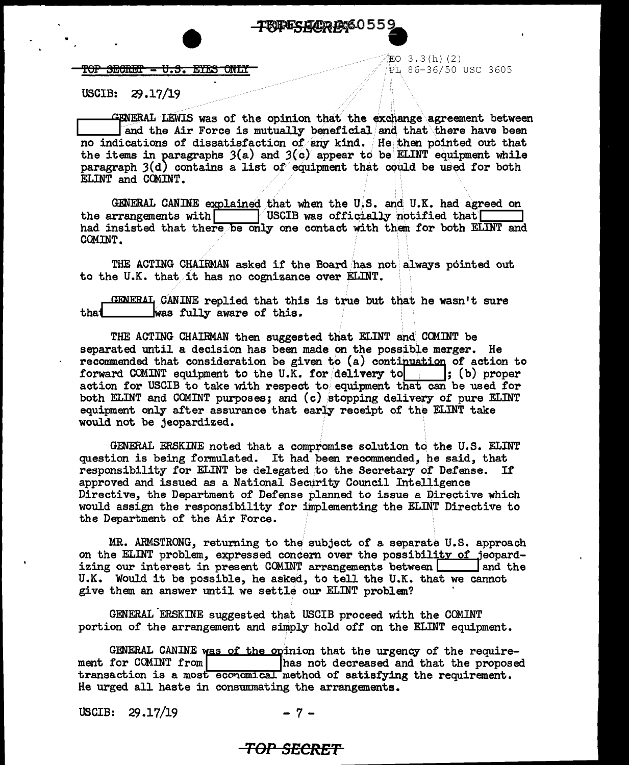e **PERFSHERE** 60559

 $\begin{array}{ccc} \textbf{POP} & \textbf{B}\textbf{CB}\textbf{EF} \textbf{--} & \textbf{U.S.} & \textbf{EYES} & \textbf{OMLT} \ \end{array}$  PL 86-36/50 use 3605

 $EO$  3.3( $h$ ) (2)

USCIB:  $29.17/19$ 

CENERAL LEWIS was of the opinion that the exchange agreement between ,<br>and the Air Force is mutually beneficial and that there have been no indications of dissatisfaction of any kind. He then pointed out that the items in paragraphs  $3(a)$  and  $3(c)$  appear to be ELINT equipment while paragraph *3(d)* contains a list of equipment that could be used for both ELINT and COMINT.

GmiEllAL CA!ilNE [~ine<j .. that when the u.;s. "'1d. U.K. had agreed on  $\frac{1}{\sqrt{2}}$  USCIB was officially notified that  $\sqrt{2}$ had insisted that there be only one contact with them for both ELINT and COMINT.

THE ACTING CHAIRMAN asked if the Board has not always pointed out to the U.K. that it has no cognizance over ELINT.

<sup>J</sup>GDJE"RAI1 CANINE replied that this is tru ... / e but th .. at .. he wasn't sure was fully aware of this.

THE ACTING CHAIRMAN then suggested that EI.INT and. COMINT be separated until a decision has been made on the possible merger. He recommended that consideration be given to (a) continuation of action to forward COMINT equipment to the U.K. for delivery to : (b) proper action for USCIB to take with respect to equipment that can be used for both ELINT and COMINT purposes; and (c) stopping delivery of pure ELINT equipment only after assurance that early receipt of the EI.INT take would not be jeopardized.

GENERAL ERSKINE noted that a compromise solution to the U.S. ELINT question is being formulated. It had been recommended, he said, that responsibility for ELINT be delegated to the Secretary of Defense. If approved and issued as a National Security Council Intelligence Directive, the Department of Defense planned to issue a Directive which would assign the responsibility for implementing the EL.INT Directive to the Department of the Air Force.

MR. ARMSTRONG, returning to the subject of a separate U.S. approach on the ELINT problem, expressed concern over the possibility of jeopard- izing our interest in present COMINT arrangements between  $\Box$  and the U.K. Would it be possible, he asked, to tell the U.K. that we cannot give them an answer until we settle our ELINT problem?

GENERAL ERSKINE suggested that USCIB proceed with the COMINT portion of the arrangement and simply hold off on the ELINT equipment.

GENERAL CANINE was of the opinion that the urgency of the require-<br>ment for COMINT from  $\begin{bmatrix} \text{has not decreased and that the proposed} \end{bmatrix}$ has not decreased and that the proposed transaction is a most economical method of satisfying the requirement. He urged all haste in consummating the arrangements.

USCIB:  $29.17/19$  - 7 -

### **TOP SECRET**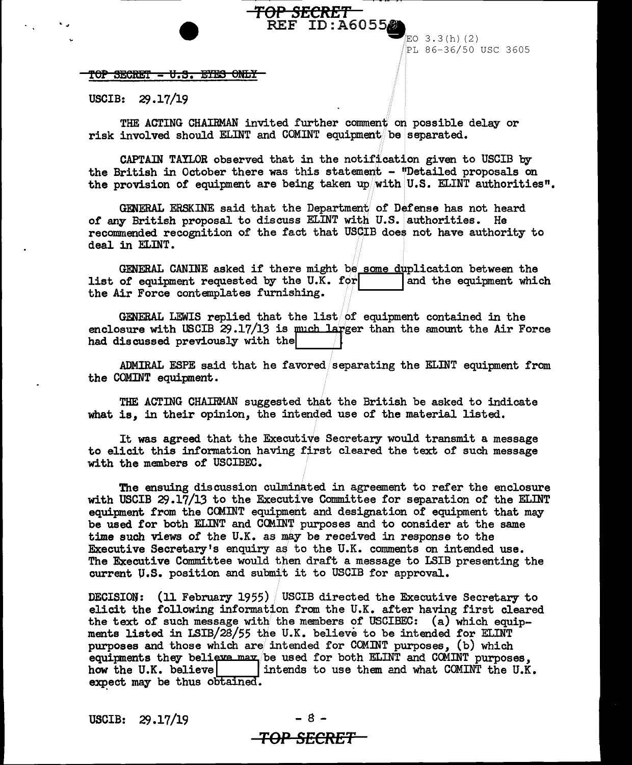# PL 86-36/50 USC 3605

3. 3 (h) (2)

REF ID: A60552

TOP SECRET - U.S. EYES ONLY

USCIB:  $29.17/19$ 

THE ACTING CHAIRMAN invited further conunent on possible delay or risk involved should ELINT and COMINT equipment be separated.

. ., *TOP* **SECRE'f** 

CAPTAIN TAYLOR observed that in the notification given to USCIB by the British in October there was this statement - "Detailed proposals on the provision of equipment are being taken up with U.S. ELINT authorities".

GENERAL ERSKINE said that the Department of Defense has not heard of any British proposal to discuss  $ELMT$  with U.S. authorities. He recommended recognition of the fact that USCIB does not have authority to deal in ELINT.

GENERAL CANINE asked if there might be some duplication between the list of equipment requested by the U.K. for list of equipment requested by the U.K. for<br>the Air Force contemplates furnishing.

GENERAL LEWIS replied that the list of equipment contained in the enclosure with USCIB  $29.17/13$  is much larger than the amount the Air Force had discussed previously with the

ADMIRAL ESPE said that he favored/separating the ELINT equipment from the COMINT equipment.

THE ACTING CHAIRMAN suggested that the British be asked to indicate what is, in their opinion, the intended use of the material listed.

It was agreed that the Executive Secretary would transmit a message to elicit this information having first cleared the text of such message with the members of USCIBEC.

The ensuing discussion culminated in agreement to refer the enclosure with USCIB 29.17/13 to the Executive Committee for separation of the ELINT equipment from the CCMINT equipment and designation of equipment that may be used for both ELINT and COMINT purposes and to consider at the same time such views of the U.K. as may be received in response to the Executive Secretary's enquiry as to the U.K. comments on intended use. The Executive Committee would then draft a message to LSIB presenting the current U.S. position and submit it to USCIB for approval.

DECISION: (11 February 1955) USCIB directed the Executive Secretary to elicit the following information from the U.K. after having first cleared the text of such message with the members of USCIBEC: (a) which equipments listed in LSIB/28/55 the U.K. believe to be intended for ELINT purposes and those which are intended for COMINT purposes, (b) which equipments they believe may be used for both ELINT and COMINT purposes, how the U.K. believe intends to use them and what COMINT the U.K. expect may be thus obtained.

 $USCIB: 29.17/19$